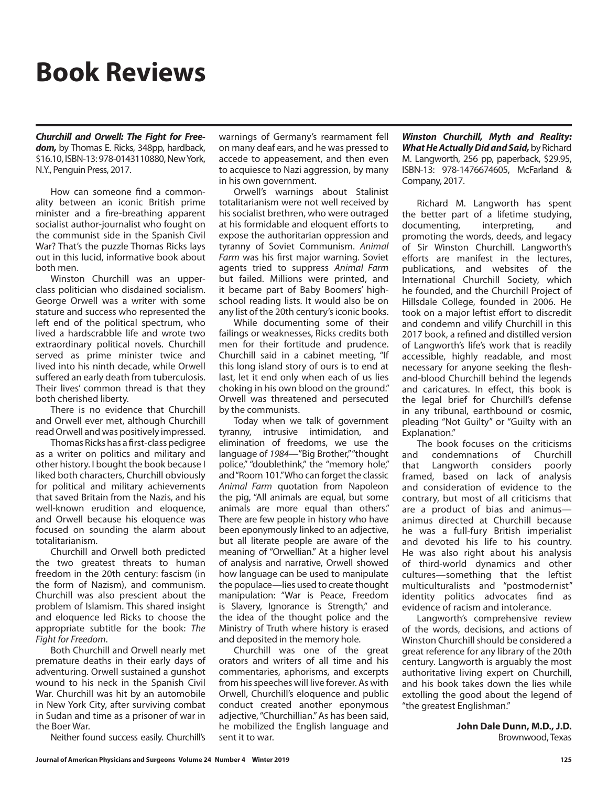## **Book Reviews**

*Churchill and Orwell: The Fight for Freedom,* by Thomas E. Ricks, 348pp, hardback, \$16.10, ISBN-13: 978-0143110880, New York, N.Y., Penguin Press, 2017.

How can someone find a commonality between an iconic British prime minister and a fire-breathing apparent socialist author-journalist who fought on the communist side in the Spanish Civil War? That's the puzzle Thomas Ricks lays out in this lucid, informative book about both men.

Winston Churchill was an upperclass politician who disdained socialism. George Orwell was a writer with some stature and success who represented the left end of the political spectrum, who lived a hardscrabble life and wrote two extraordinary political novels. Churchill served as prime minister twice and lived into his ninth decade, while Orwell suffered an early death from tuberculosis. Their lives' common thread is that they both cherished liberty.

There is no evidence that Churchill and Orwell ever met, although Churchill read Orwell and was positively impressed.

Thomas Ricks has a first-class pedigree as a writer on politics and military and other history. I bought the book because I liked both characters, Churchill obviously for political and military achievements that saved Britain from the Nazis, and his well-known erudition and eloquence, and Orwell because his eloquence was focused on sounding the alarm about totalitarianism.

Churchill and Orwell both predicted the two greatest threats to human freedom in the 20th century: fascism (in the form of Nazism), and communism. Churchill was also prescient about the problem of Islamism. This shared insight and eloquence led Ricks to choose the appropriate subtitle for the book: *The Fight for Freedom*.

Both Churchill and Orwell nearly met premature deaths in their early days of adventuring. Orwell sustained a gunshot wound to his neck in the Spanish Civil War. Churchill was hit by an automobile in New York City, after surviving combat in Sudan and time as a prisoner of war in the Boer War.

Neither found success easily. Churchill's

warnings of Germany's rearmament fell on many deaf ears, and he was pressed to accede to appeasement, and then even to acquiesce to Nazi aggression, by many in his own government.

Orwell's warnings about Stalinist totalitarianism were not well received by his socialist brethren, who were outraged at his formidable and eloquent efforts to expose the authoritarian oppression and tyranny of Soviet Communism. *Animal Farm* was his first major warning. Soviet agents tried to suppress *Animal Farm* but failed. Millions were printed, and it became part of Baby Boomers' highschool reading lists. It would also be on any list of the 20th century's iconic books.

While documenting some of their failings or weaknesses, Ricks credits both men for their fortitude and prudence. Churchill said in a cabinet meeting, "If this long island story of ours is to end at last, let it end only when each of us lies choking in his own blood on the ground." Orwell was threatened and persecuted by the communists.

Today when we talk of government tyranny, intrusive intimidation, and elimination of freedoms, we use the language of *1984*—"Big Brother," "thought police," "doublethink," the "memory hole," and "Room 101." Who can forget the classic *Animal Farm* quotation from Napoleon the pig, "All animals are equal, but some animals are more equal than others." There are few people in history who have been eponymously linked to an adjective, but all literate people are aware of the meaning of "Orwellian." At a higher level of analysis and narrative, Orwell showed how language can be used to manipulate the populace—lies used to create thought manipulation: "War is Peace, Freedom is Slavery, Ignorance is Strength," and the idea of the thought police and the Ministry of Truth where history is erased and deposited in the memory hole.

Churchill was one of the great orators and writers of all time and his commentaries, aphorisms, and excerpts from his speeches will live forever. As with Orwell, Churchill's eloquence and public conduct created another eponymous adjective, "Churchillian." As has been said, he mobilized the English language and sent it to war.

*Winston Churchill, Myth and Reality: What He Actually Did and Said,* by Richard M. Langworth, 256 pp, paperback, \$29.95, ISBN-13: 978-1476674605, McFarland & Company, 2017.

Richard M. Langworth has spent the better part of a lifetime studying, documenting, interpreting, and promoting the words, deeds, and legacy of Sir Winston Churchill. Langworth's efforts are manifest in the lectures, publications, and websites of the International Churchill Society, which he founded, and the Churchill Project of Hillsdale College, founded in 2006. He took on a major leftist effort to discredit and condemn and vilify Churchill in this 2017 book, a refined and distilled version of Langworth's life's work that is readily accessible, highly readable, and most necessary for anyone seeking the fleshand-blood Churchill behind the legends and caricatures. In effect, this book is the legal brief for Churchill's defense in any tribunal, earthbound or cosmic, pleading "Not Guilty" or "Guilty with an Explanation."

The book focuses on the criticisms and condemnations of Churchill that Langworth considers poorly framed, based on lack of analysis and consideration of evidence to the contrary, but most of all criticisms that are a product of bias and animus animus directed at Churchill because he was a full-fury British imperialist and devoted his life to his country. He was also right about his analysis of third-world dynamics and other cultures—something that the leftist multiculturalists and "postmodernist" identity politics advocates find as evidence of racism and intolerance.

Langworth's comprehensive review of the words, decisions, and actions of Winston Churchill should be considered a great reference for any library of the 20th century. Langworth is arguably the most authoritative living expert on Churchill, and his book takes down the lies while extolling the good about the legend of "the greatest Englishman."

> **John Dale Dunn, M.D., J.D.** Brownwood, Texas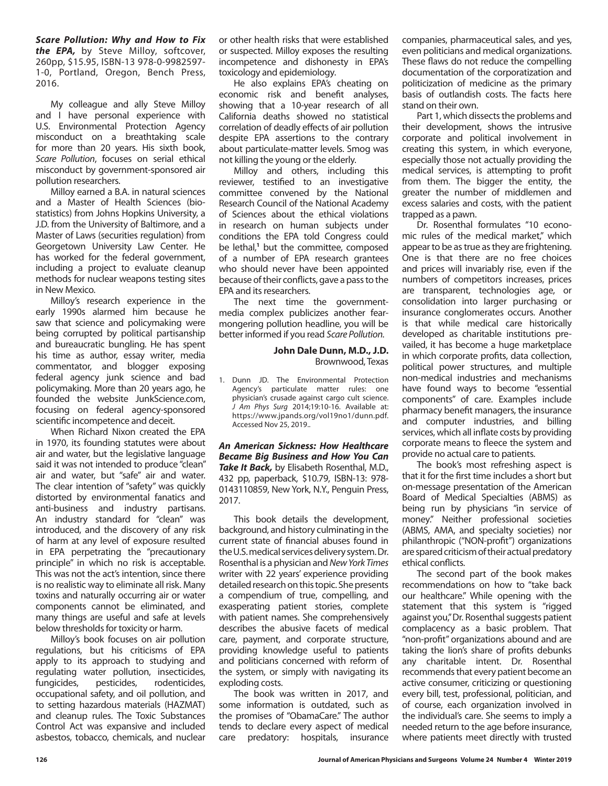*Scare Pollution: Why and How to Fix the EPA,* by Steve Milloy, softcover, 260pp, \$15.95, ISBN-13 978-0-9982597- 1-0, Portland, Oregon, Bench Press, 2016.

My colleague and ally Steve Milloy and I have personal experience with U.S. Environmental Protection Agency misconduct on a breathtaking scale for more than 20 years. His sixth book, *Scare Pollution*, focuses on serial ethical misconduct by government-sponsored air pollution researchers.

Milloy earned a B.A. in natural sciences and a Master of Health Sciences (biostatistics) from Johns Hopkins University, a J.D. from the University of Baltimore, and a Master of Laws (securities regulation) from Georgetown University Law Center. He has worked for the federal government, including a project to evaluate cleanup methods for nuclear weapons testing sites in New Mexico.

Milloy's research experience in the early 1990s alarmed him because he saw that science and policymaking were being corrupted by political partisanship and bureaucratic bungling. He has spent his time as author, essay writer, media commentator, and blogger exposing federal agency junk science and bad policymaking. More than 20 years ago, he founded the website JunkScience.com, focusing on federal agency-sponsored scientific incompetence and deceit.

When Richard Nixon created the EPA in 1970, its founding statutes were about air and water, but the legislative language said it was not intended to produce "clean" air and water, but "safe" air and water. The clear intention of "safety" was quickly distorted by environmental fanatics and anti-business and industry partisans. An industry standard for "clean" was introduced, and the discovery of any risk of harm at any level of exposure resulted in EPA perpetrating the "precautionary principle" in which no risk is acceptable. This was not the act's intention, since there is no realistic way to eliminate all risk. Many toxins and naturally occurring air or water components cannot be eliminated, and many things are useful and safe at levels below thresholds for toxicity or harm.

Milloy's book focuses on air pollution regulations, but his criticisms of EPA apply to its approach to studying and regulating water pollution, insecticides,<br>fungicides, pesticides, rodenticides, fungicides, pesticides, rodenticides, occupational safety, and oil pollution, and to setting hazardous materials (HAZMAT) and cleanup rules. The Toxic Substances Control Act was expansive and included asbestos, tobacco, chemicals, and nuclear or other health risks that were established or suspected. Milloy exposes the resulting incompetence and dishonesty in EPA's toxicology and epidemiology.

He also explains EPA's cheating on economic risk and benefit analyses, showing that a 10-year research of all California deaths showed no statistical correlation of deadly effects of air pollution despite EPA assertions to the contrary about particulate-matter levels. Smog was not killing the young or the elderly.

Milloy and others, including this reviewer, testified to an investigative committee convened by the National Research Council of the National Academy of Sciences about the ethical violations in research on human subjects under conditions the EPA told Congress could be lethal,<sup>1</sup> but the committee, composed of a number of EPA research grantees who should never have been appointed because of their conflicts, gave a pass to the EPA and its researchers.

The next time the governmentmedia complex publicizes another fearmongering pollution headline, you will be better informed if you read *Scare Pollution.*

## **John Dale Dunn, M.D., J.D.** Brownwood, Texas

1. Dunn JD. The Environmental Protection Agency's particulate matter rules: one physician's crusade against cargo cult science. *J Am Phys Surg* 2014;19:10-16. Available at: https://www.jpands.org/vol19no1/dunn.pdf. Accessed Nov 25, 2019..

*An American Sickness: How Healthcare Became Big Business and How You Can Take It Back,* by Elisabeth Rosenthal, M.D., 432 pp, paperback, \$10.79, ISBN-13: 978- 0143110859, New York, N.Y., Penguin Press, 2017.

This book details the development, background, and history culminating in the current state of financial abuses found in the U.S. medical services delivery system. Dr. Rosenthal is a physician and *New York Times* writer with 22 years' experience providing detailed research on this topic. She presents a compendium of true, compelling, and exasperating patient stories, complete with patient names. She comprehensively describes the abusive facets of medical care, payment, and corporate structure, providing knowledge useful to patients and politicians concerned with reform of the system, or simply with navigating its exploding costs.

The book was written in 2017, and some information is outdated, such as the promises of "ObamaCare." The author tends to declare every aspect of medical care predatory: hospitals, insurance

companies, pharmaceutical sales, and yes, even politicians and medical organizations. These flaws do not reduce the compelling documentation of the corporatization and politicization of medicine as the primary basis of outlandish costs. The facts here stand on their own.

Part 1, which dissects the problems and their development, shows the intrusive corporate and political involvement in creating this system, in which everyone, especially those not actually providing the medical services, is attempting to profit from them. The bigger the entity, the greater the number of middlemen and excess salaries and costs, with the patient trapped as a pawn.

Dr. Rosenthal formulates "10 economic rules of the medical market," which appear to be as true as they are frightening. One is that there are no free choices and prices will invariably rise, even if the numbers of competitors increases, prices are transparent, technologies age, or consolidation into larger purchasing or insurance conglomerates occurs. Another is that while medical care historically developed as charitable institutions prevailed, it has become a huge marketplace in which corporate profits, data collection, political power structures, and multiple non-medical industries and mechanisms have found ways to become "essential components" of care. Examples include pharmacy benefit managers, the insurance and computer industries, and billing services, which all inflate costs by providing corporate means to fleece the system and provide no actual care to patients.

The book's most refreshing aspect is that it for the first time includes a short but on-message presentation of the American Board of Medical Specialties (ABMS) as being run by physicians "in service of money." Neither professional societies (ABMS, AMA, and specialty societies) nor philanthropic ("NON-profit") organizations are spared criticism of their actual predatory ethical conflicts.

The second part of the book makes recommendations on how to "take back our healthcare." While opening with the statement that this system is "rigged against you," Dr. Rosenthal suggests patient complacency as a basic problem. That "non-profit" organizations abound and are taking the lion's share of profits debunks any charitable intent. Dr. Rosenthal recommends that every patient become an active consumer, criticizing or questioning every bill, test, professional, politician, and of course, each organization involved in the individual's care. She seems to imply a needed return to the age before insurance, where patients meet directly with trusted